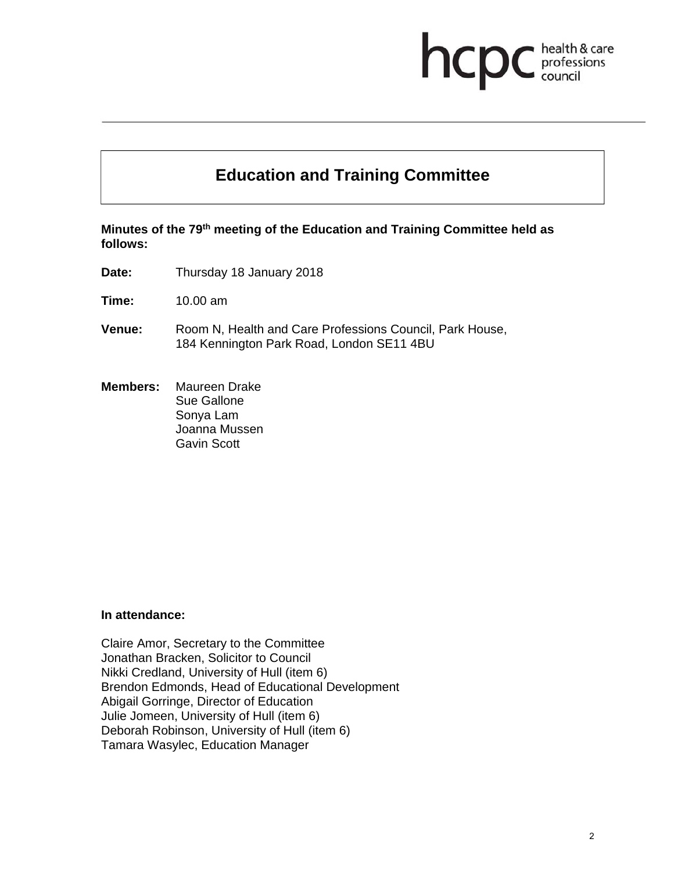## hcp health & care professions<br>council

# **Education and Training Committee**

**Minutes of the 79th meeting of the Education and Training Committee held as follows:** 

**Date:** Thursday 18 January 2018

**Time:** 10.00 am

- **Venue:** Room N, Health and Care Professions Council, Park House, 184 Kennington Park Road, London SE11 4BU
- **Members:** Maureen Drake Sue Gallone Sonya Lam Joanna Mussen Gavin Scott

#### **In attendance:**

Claire Amor, Secretary to the Committee Jonathan Bracken, Solicitor to Council Nikki Credland, University of Hull (item 6) Brendon Edmonds, Head of Educational Development Abigail Gorringe, Director of Education Julie Jomeen, University of Hull (item 6) Deborah Robinson, University of Hull (item 6) Tamara Wasylec, Education Manager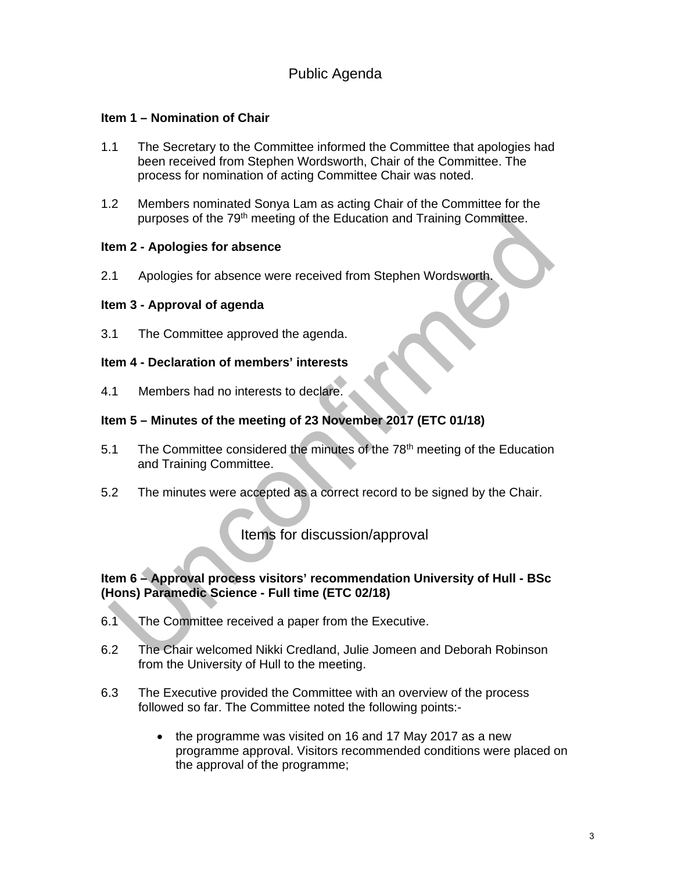## Public Agenda

#### **Item 1 – Nomination of Chair**

- 1.1 The Secretary to the Committee informed the Committee that apologies had been received from Stephen Wordsworth, Chair of the Committee. The process for nomination of acting Committee Chair was noted.
- 1.2 Members nominated Sonya Lam as acting Chair of the Committee for the purposes of the 79<sup>th</sup> meeting of the Education and Training Committee.

#### **Item 2 - Apologies for absence**

2.1 Apologies for absence were received from Stephen Wordsworth.

#### **Item 3 - Approval of agenda**

3.1 The Committee approved the agenda.

#### **Item 4 - Declaration of members' interests**

4.1 Members had no interests to declare.

#### **Item 5 – Minutes of the meeting of 23 November 2017 (ETC 01/18)**

- 5.1 The Committee considered the minutes of the 78<sup>th</sup> meeting of the Education and Training Committee.
- 5.2 The minutes were accepted as a correct record to be signed by the Chair.

## Items for discussion/approval

#### **Item 6 – Approval process visitors' recommendation University of Hull - BSc (Hons) Paramedic Science - Full time (ETC 02/18)**

- 6.1 The Committee received a paper from the Executive.
- 6.2 The Chair welcomed Nikki Credland, Julie Jomeen and Deborah Robinson from the University of Hull to the meeting.
- 6.3 The Executive provided the Committee with an overview of the process followed so far. The Committee noted the following points:-
	- the programme was visited on 16 and 17 May 2017 as a new programme approval. Visitors recommended conditions were placed on the approval of the programme;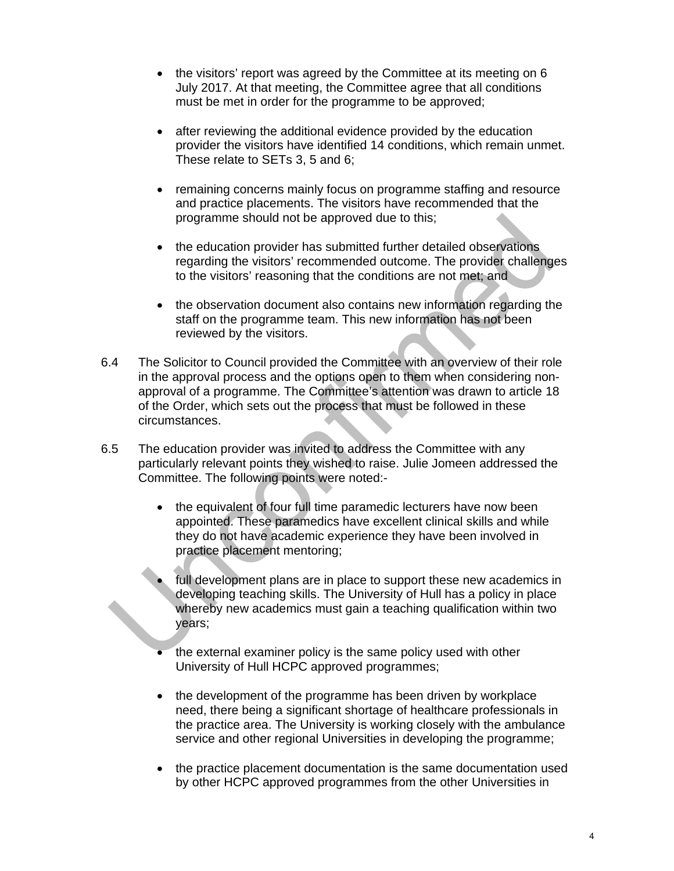- the visitors' report was agreed by the Committee at its meeting on 6 July 2017. At that meeting, the Committee agree that all conditions must be met in order for the programme to be approved;
- after reviewing the additional evidence provided by the education provider the visitors have identified 14 conditions, which remain unmet. These relate to SETs 3, 5 and 6;
- remaining concerns mainly focus on programme staffing and resource and practice placements. The visitors have recommended that the programme should not be approved due to this;
- the education provider has submitted further detailed observations regarding the visitors' recommended outcome. The provider challenges to the visitors' reasoning that the conditions are not met; and
- the observation document also contains new information regarding the staff on the programme team. This new information has not been reviewed by the visitors.
- 6.4 The Solicitor to Council provided the Committee with an overview of their role in the approval process and the options open to them when considering nonapproval of a programme. The Committee's attention was drawn to article 18 of the Order, which sets out the process that must be followed in these circumstances.
- 6.5 The education provider was invited to address the Committee with any particularly relevant points they wished to raise. Julie Jomeen addressed the Committee. The following points were noted:-
	- the equivalent of four full time paramedic lecturers have now been appointed. These paramedics have excellent clinical skills and while they do not have academic experience they have been involved in practice placement mentoring;
	- full development plans are in place to support these new academics in developing teaching skills. The University of Hull has a policy in place whereby new academics must gain a teaching qualification within two years;
	- the external examiner policy is the same policy used with other University of Hull HCPC approved programmes;
	- the development of the programme has been driven by workplace need, there being a significant shortage of healthcare professionals in the practice area. The University is working closely with the ambulance service and other regional Universities in developing the programme;
	- the practice placement documentation is the same documentation used by other HCPC approved programmes from the other Universities in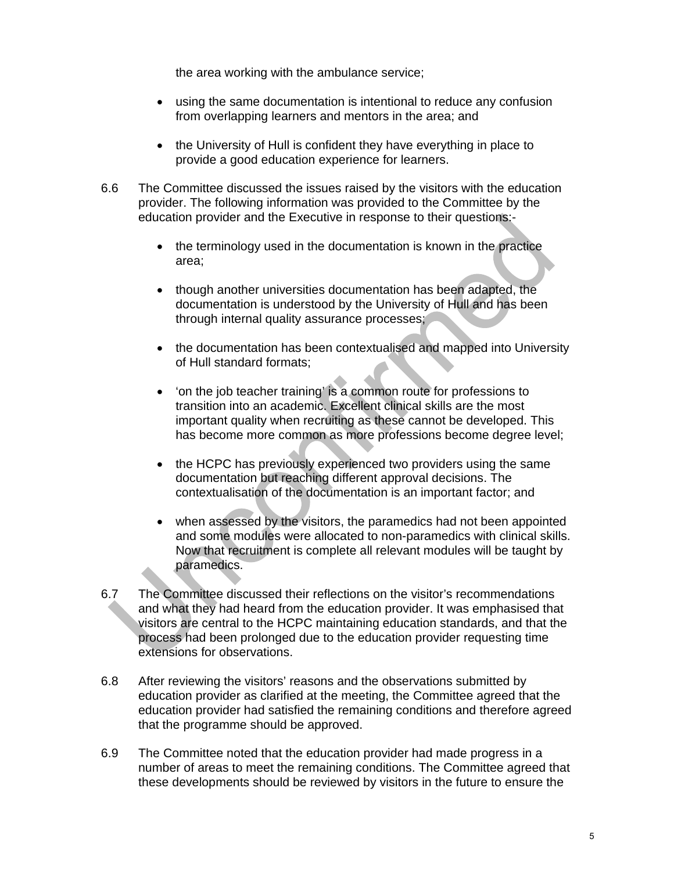the area working with the ambulance service;

- using the same documentation is intentional to reduce any confusion from overlapping learners and mentors in the area; and
- the University of Hull is confident they have everything in place to provide a good education experience for learners.
- 6.6 The Committee discussed the issues raised by the visitors with the education provider. The following information was provided to the Committee by the education provider and the Executive in response to their questions:-
	- the terminology used in the documentation is known in the practice area;
	- though another universities documentation has been adapted, the documentation is understood by the University of Hull and has been through internal quality assurance processes;
	- the documentation has been contextualised and mapped into University of Hull standard formats;
	- 'on the job teacher training' is a common route for professions to transition into an academic. Excellent clinical skills are the most important quality when recruiting as these cannot be developed. This has become more common as more professions become degree level;
	- the HCPC has previously experienced two providers using the same documentation but reaching different approval decisions. The contextualisation of the documentation is an important factor; and
	- when assessed by the visitors, the paramedics had not been appointed and some modules were allocated to non-paramedics with clinical skills. Now that recruitment is complete all relevant modules will be taught by paramedics.
- 6.7 The Committee discussed their reflections on the visitor's recommendations and what they had heard from the education provider. It was emphasised that visitors are central to the HCPC maintaining education standards, and that the process had been prolonged due to the education provider requesting time extensions for observations.
- 6.8 After reviewing the visitors' reasons and the observations submitted by education provider as clarified at the meeting, the Committee agreed that the education provider had satisfied the remaining conditions and therefore agreed that the programme should be approved.
- 6.9 The Committee noted that the education provider had made progress in a number of areas to meet the remaining conditions. The Committee agreed that these developments should be reviewed by visitors in the future to ensure the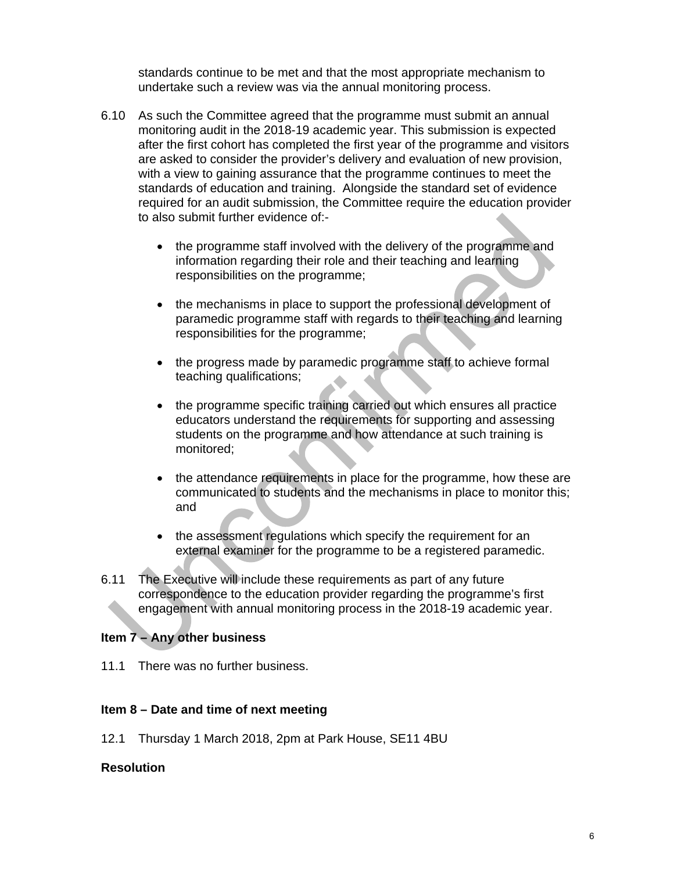standards continue to be met and that the most appropriate mechanism to undertake such a review was via the annual monitoring process.

- 6.10 As such the Committee agreed that the programme must submit an annual monitoring audit in the 2018-19 academic year. This submission is expected after the first cohort has completed the first year of the programme and visitors are asked to consider the provider's delivery and evaluation of new provision, with a view to gaining assurance that the programme continues to meet the standards of education and training. Alongside the standard set of evidence required for an audit submission, the Committee require the education provider to also submit further evidence of:-
	- the programme staff involved with the delivery of the programme and information regarding their role and their teaching and learning responsibilities on the programme;
	- the mechanisms in place to support the professional development of paramedic programme staff with regards to their teaching and learning responsibilities for the programme;
	- the progress made by paramedic programme staff to achieve formal teaching qualifications;
	- the programme specific training carried out which ensures all practice educators understand the requirements for supporting and assessing students on the programme and how attendance at such training is monitored;
	- the attendance requirements in place for the programme, how these are communicated to students and the mechanisms in place to monitor this; and
	- the assessment regulations which specify the requirement for an external examiner for the programme to be a registered paramedic.
- 6.11 The Executive will include these requirements as part of any future correspondence to the education provider regarding the programme's first engagement with annual monitoring process in the 2018-19 academic year.

### **Item 7 – Any other business**

11.1 There was no further business.

### **Item 8 – Date and time of next meeting**

12.1 Thursday 1 March 2018, 2pm at Park House, SE11 4BU

#### **Resolution**